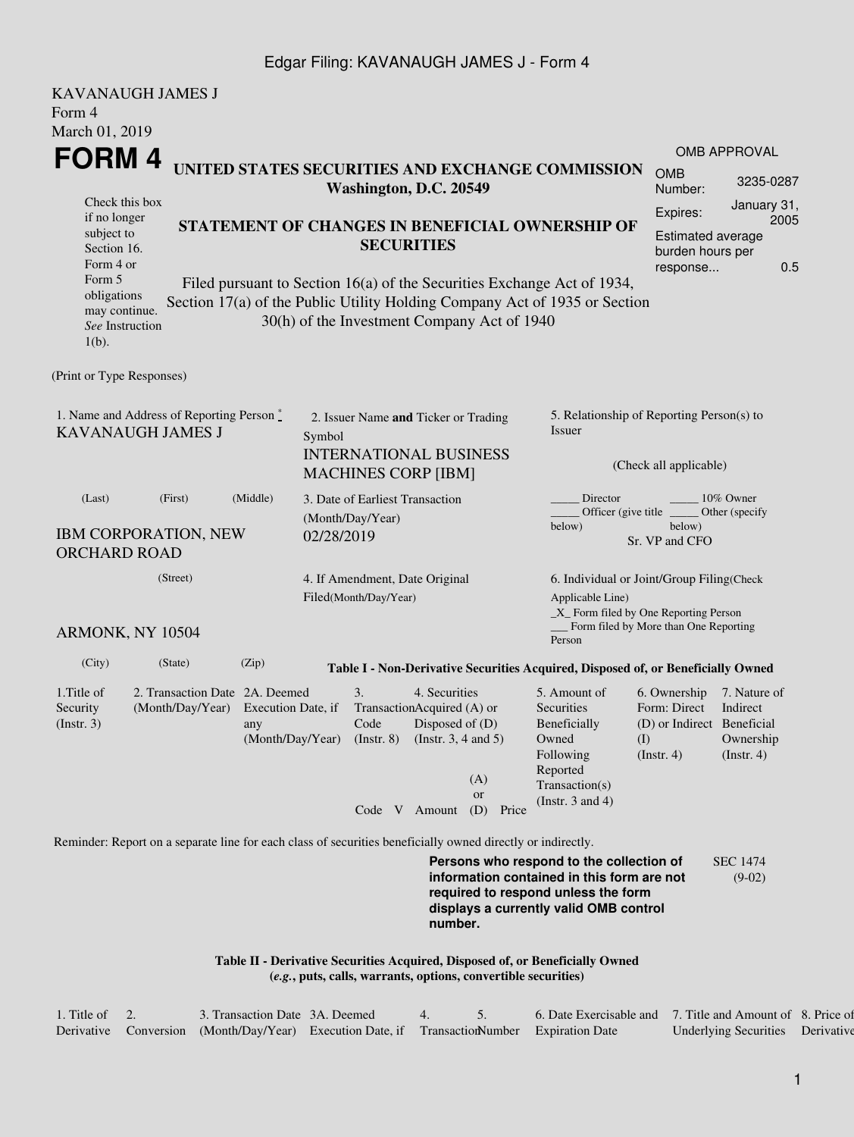## Edgar Filing: KAVANAUGH JAMES J - Form 4

| <b>KAVANAUGH JAMES J</b>                                                                                                                                                                                                                                                      |                                                                                                             |                                                                                 |                                                 |                                                                                                              |                                  |                                                                                                                    |                                                                                                                         |                                                                                  |                                                           |  |  |
|-------------------------------------------------------------------------------------------------------------------------------------------------------------------------------------------------------------------------------------------------------------------------------|-------------------------------------------------------------------------------------------------------------|---------------------------------------------------------------------------------|-------------------------------------------------|--------------------------------------------------------------------------------------------------------------|----------------------------------|--------------------------------------------------------------------------------------------------------------------|-------------------------------------------------------------------------------------------------------------------------|----------------------------------------------------------------------------------|-----------------------------------------------------------|--|--|
| Form 4<br>March 01, 2019                                                                                                                                                                                                                                                      |                                                                                                             |                                                                                 |                                                 |                                                                                                              |                                  |                                                                                                                    |                                                                                                                         |                                                                                  |                                                           |  |  |
| <b>FORM4</b>                                                                                                                                                                                                                                                                  |                                                                                                             |                                                                                 |                                                 |                                                                                                              |                                  |                                                                                                                    | UNITED STATES SECURITIES AND EXCHANGE COMMISSION                                                                        |                                                                                  | <b>OMB APPROVAL</b>                                       |  |  |
|                                                                                                                                                                                                                                                                               | <b>OMB</b><br>Number:                                                                                       | 3235-0287                                                                       |                                                 |                                                                                                              |                                  |                                                                                                                    |                                                                                                                         |                                                                                  |                                                           |  |  |
| Check this box<br>if no longer                                                                                                                                                                                                                                                |                                                                                                             |                                                                                 |                                                 |                                                                                                              |                                  |                                                                                                                    | Expires:                                                                                                                | January 31,<br>2005                                                              |                                                           |  |  |
| subject to<br>Section 16.<br>Form 4 or                                                                                                                                                                                                                                        |                                                                                                             |                                                                                 | STATEMENT OF CHANGES IN BENEFICIAL OWNERSHIP OF | Estimated average<br>burden hours per<br>response                                                            | 0.5                              |                                                                                                                    |                                                                                                                         |                                                                                  |                                                           |  |  |
| Form 5<br>Filed pursuant to Section 16(a) of the Securities Exchange Act of 1934,<br>obligations<br>Section 17(a) of the Public Utility Holding Company Act of 1935 or Section<br>may continue.<br>30(h) of the Investment Company Act of 1940<br>See Instruction<br>$1(b)$ . |                                                                                                             |                                                                                 |                                                 |                                                                                                              |                                  |                                                                                                                    |                                                                                                                         |                                                                                  |                                                           |  |  |
| (Print or Type Responses)                                                                                                                                                                                                                                                     |                                                                                                             |                                                                                 |                                                 |                                                                                                              |                                  |                                                                                                                    |                                                                                                                         |                                                                                  |                                                           |  |  |
| 1. Name and Address of Reporting Person $\stackrel{*}{\mathbb{L}}$<br><b>KAVANAUGH JAMES J</b>                                                                                                                                                                                |                                                                                                             | 2. Issuer Name and Ticker or Trading<br>Symbol<br><b>INTERNATIONAL BUSINESS</b> |                                                 |                                                                                                              |                                  | 5. Relationship of Reporting Person(s) to<br><b>Issuer</b><br>(Check all applicable)                               |                                                                                                                         |                                                                                  |                                                           |  |  |
|                                                                                                                                                                                                                                                                               |                                                                                                             |                                                                                 |                                                 | <b>MACHINES CORP [IBM]</b>                                                                                   |                                  |                                                                                                                    |                                                                                                                         |                                                                                  |                                                           |  |  |
| (Last)<br><b>IBM CORPORATION, NEW</b><br><b>ORCHARD ROAD</b>                                                                                                                                                                                                                  | (Middle)                                                                                                    | 3. Date of Earliest Transaction<br>(Month/Day/Year)<br>02/28/2019               |                                                 |                                                                                                              |                                  | 10% Owner<br>Director<br>Officer (give title $\phantom{0}$<br>Other (specify<br>below)<br>below)<br>Sr. VP and CFO |                                                                                                                         |                                                                                  |                                                           |  |  |
|                                                                                                                                                                                                                                                                               | (Street)                                                                                                    |                                                                                 | 4. If Amendment, Date Original                  |                                                                                                              |                                  |                                                                                                                    | 6. Individual or Joint/Group Filing(Check                                                                               |                                                                                  |                                                           |  |  |
|                                                                                                                                                                                                                                                                               |                                                                                                             | Filed(Month/Day/Year)                                                           |                                                 |                                                                                                              |                                  | Applicable Line)<br>_X_ Form filed by One Reporting Person<br>_ Form filed by More than One Reporting              |                                                                                                                         |                                                                                  |                                                           |  |  |
| ARMONK, NY 10504                                                                                                                                                                                                                                                              |                                                                                                             |                                                                                 |                                                 |                                                                                                              |                                  |                                                                                                                    | Person                                                                                                                  |                                                                                  |                                                           |  |  |
| (City)                                                                                                                                                                                                                                                                        | (State)                                                                                                     | (Zip)                                                                           |                                                 |                                                                                                              |                                  |                                                                                                                    | Table I - Non-Derivative Securities Acquired, Disposed of, or Beneficially Owned                                        |                                                                                  |                                                           |  |  |
| 1. Title of<br>Security<br>$($ Instr. 3 $)$                                                                                                                                                                                                                                   | 2. Transaction Date 2A. Deemed<br>(Month/Day/Year) Execution Date, if                                       | any                                                                             |                                                 | 3.<br>TransactionAcquired (A) or<br>Code<br>(Month/Day/Year) (Instr. 8) (Instr. 3, 4 and 5)<br>Code V Amount | 4. Securities<br>Disposed of (D) | (A)<br>or<br>(D)<br>Price                                                                                          | 5. Amount of<br>Securities<br>Beneficially<br>Owned<br>Following<br>Reported<br>Transaction(s)<br>(Instr. $3$ and $4$ ) | 6. Ownership<br>Form: Direct<br>(D) or Indirect Beneficial<br>(I)<br>(Insert. 4) | 7. Nature of<br>Indirect<br>Ownership<br>$($ Instr. 4 $)$ |  |  |
|                                                                                                                                                                                                                                                                               | Reminder: Report on a separate line for each class of securities beneficially owned directly or indirectly. |                                                                                 |                                                 |                                                                                                              |                                  |                                                                                                                    |                                                                                                                         |                                                                                  |                                                           |  |  |
| Persons who respond to the collection of<br><b>SEC 1474</b><br>information contained in this form are not<br>$(9-02)$<br>required to respond unless the form<br>displays a currently valid OMB control<br>number.                                                             |                                                                                                             |                                                                                 |                                                 |                                                                                                              |                                  |                                                                                                                    |                                                                                                                         |                                                                                  |                                                           |  |  |
|                                                                                                                                                                                                                                                                               |                                                                                                             |                                                                                 |                                                 |                                                                                                              |                                  | (e.g., puts, calls, warrants, options, convertible securities)                                                     | Table II - Derivative Securities Acquired, Disposed of, or Beneficially Owned                                           |                                                                                  |                                                           |  |  |

| 1. Title of $\quad 2.$ | 3. Transaction Date 3A. Deemed                                                               |  | 6. Date Exercisable and 7. Title and Amount of 8. Price of |                                  |  |
|------------------------|----------------------------------------------------------------------------------------------|--|------------------------------------------------------------|----------------------------------|--|
|                        | Derivative Conversion (Month/Day/Year) Execution Date, if Transaction Number Expiration Date |  |                                                            | Underlying Securities Derivative |  |